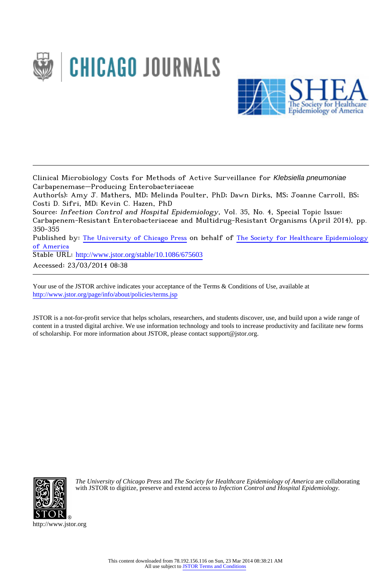



Clinical Microbiology Costs for Methods of Active Surveillance for Klebsiella pneumoniae Carbapenemase–Producing Enterobacteriaceae

Author(s): Amy J. Mathers, MD; Melinda Poulter, PhD; Dawn Dirks, MS; Joanne Carroll, BS; Costi D. Sifri, MD; Kevin C. Hazen, PhD

Source: Infection Control and Hospital Epidemiology, Vol. 35, No. 4, Special Topic Issue: Carbapenem-Resistant Enterobacteriaceae and Multidrug-Resistant Organisms (April 2014), pp. 350-355

Published by: [The University of Chicago Press](http://www.jstor.org/action/showPublisher?publisherCode=ucpress) on behalf of [The Society for Healthcare Epidemiology](http://www.jstor.org/action/showPublisher?publisherCode=shea) [of America](http://www.jstor.org/action/showPublisher?publisherCode=shea)

Stable URL: http://www.jstor.org/stable/10.1086/675603

Accessed: 23/03/2014 08:38

Your use of the JSTOR archive indicates your acceptance of the Terms & Conditions of Use, available at <http://www.jstor.org/page/info/about/policies/terms.jsp>

JSTOR is a not-for-profit service that helps scholars, researchers, and students discover, use, and build upon a wide range of content in a trusted digital archive. We use information technology and tools to increase productivity and facilitate new forms of scholarship. For more information about JSTOR, please contact support@jstor.org.



*The University of Chicago Press* and *The Society for Healthcare Epidemiology of America* are collaborating with JSTOR to digitize, preserve and extend access to *Infection Control and Hospital Epidemiology.*

http://www.jstor.org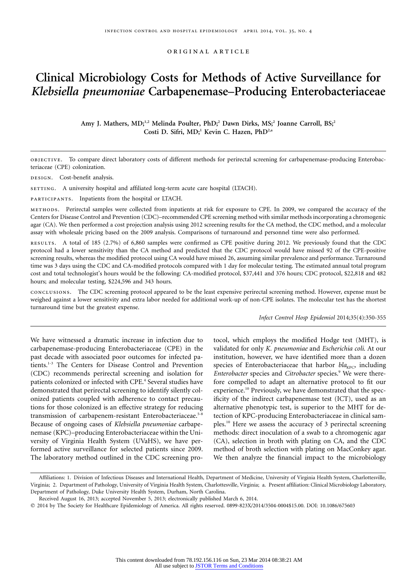original article

# **Clinical Microbiology Costs for Methods of Active Surveillance for** *Klebsiella pneumoniae* **Carbapenemase–Producing Enterobacteriaceae**

Amy J. Mathers, MD;<sup>1,2</sup> Melinda Poulter, PhD;<sup>2</sup> Dawn Dirks, MS;<sup>2</sup> Joanne Carroll, BS;<sup>2</sup> Costi D. Sifri, MD;<sup>1</sup> Kevin C. Hazen, PhD<sup>2,a</sup>

objective. To compare direct laboratory costs of different methods for perirectal screening for carbapenemase-producing Enterobacteriaceae (CPE) colonization.

DESIGN. Cost-benefit analysis.

setting. A university hospital and affiliated long-term acute care hospital (LTACH).

participants. Inpatients from the hospital or LTACH.

methods. Perirectal samples were collected from inpatients at risk for exposure to CPE. In 2009, we compared the accuracy of the Centers for Disease Control and Prevention (CDC)–recommended CPE screening method with similar methods incorporating a chromogenic agar (CA). We then performed a cost projection analysis using 2012 screening results for the CA method, the CDC method, and a molecular assay with wholesale pricing based on the 2009 analysis. Comparisons of turnaround and personnel time were also performed.

results. A total of 185 (2.7%) of 6,860 samples were confirmed as CPE positive during 2012. We previously found that the CDC protocol had a lower sensitivity than the CA method and predicted that the CDC protocol would have missed 92 of the CPE-positive screening results, whereas the modified protocol using CA would have missed 26, assuming similar prevalence and performance. Turnaround time was 3 days using the CDC and CA-modified protocols compared with 1 day for molecular testing. The estimated annual total program cost and total technologist's hours would be the following: CA-modified protocol, \$37,441 and 376 hours; CDC protocol, \$22,818 and 482 hours; and molecular testing, \$224,596 and 343 hours.

conclusions. The CDC screening protocol appeared to be the least expensive perirectal screening method. However, expense must be weighed against a lower sensitivity and extra labor needed for additional work-up of non-CPE isolates. The molecular test has the shortest turnaround time but the greatest expense.

*Infect Control Hosp Epidemiol* 2014;35(4):350-355

We have witnessed a dramatic increase in infection due to carbapenemase-producing Enterobacteriaceae (CPE) in the past decade with associated poor outcomes for infected patients.1-3 The Centers for Disease Control and Prevention (CDC) recommends perirectal screening and isolation for patients colonized or infected with CPE.<sup>4</sup> Several studies have demonstrated that perirectal screening to identify silently colonized patients coupled with adherence to contact precautions for those colonized is an effective strategy for reducing transmission of carbapenem-resistant Enterobacteriaceae.<sup>5-8</sup> Because of ongoing cases of *Klebsiella pneumoniae* carbapenemase (KPC)–producing Enterobacteriaceae within the University of Virginia Health System (UVaHS), we have performed active surveillance for selected patients since 2009. The laboratory method outlined in the CDC screening protocol, which employs the modified Hodge test (MHT), is validated for only *K. pneumoniae* and *Escherichia coli*. At our institution, however, we have identified more than a dozen species of Enterobacteriaceae that harbor  $bla_{KPC}$ , including *Enterobacter* species and *Citrobacter* species.9 We were therefore compelled to adapt an alternative protocol to fit our experience.<sup>10</sup> Previously, we have demonstrated that the specificity of the indirect carbapenemase test (ICT), used as an alternative phenotypic test, is superior to the MHT for detection of KPC-producing Enterobacteriaceae in clinical samples.<sup>10</sup> Here we assess the accuracy of 3 perirectal screening methods: direct inoculation of a swab to a chromogenic agar (CA), selection in broth with plating on CA, and the CDC method of broth selection with plating on MacConkey agar. We then analyze the financial impact to the microbiology

Affiliations: 1. Division of Infectious Diseases and International Health, Department of Medicine, University of Virginia Health System, Charlottesville, Virginia; 2. Department of Pathology, University of Virginia Health System, Charlottesville, Virginia; a. Present affiliation: Clinical Microbiology Laboratory, Department of Pathology, Duke University Health System, Durham, North Carolina.

Received August 16, 2013; accepted November 5, 2013; electronically published March 6, 2014.

<sup>-</sup> 2014 by The Society for Healthcare Epidemiology of America. All rights reserved. 0899-823X/2014/3504-0004\$15.00. DOI: 10.1086/675603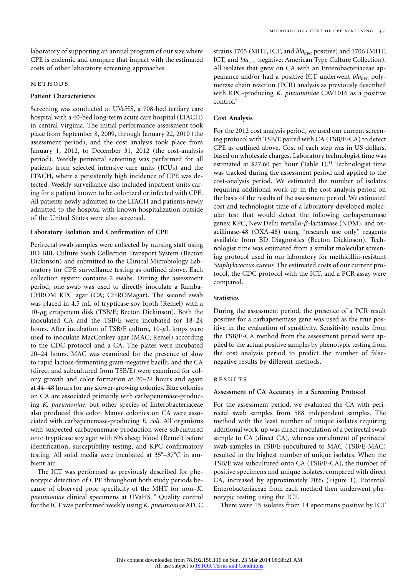laboratory of supporting an annual program of our size where CPE is endemic and compare that impact with the estimated costs of other laboratory screening approaches.

## **METHODS**

# **Patient Characteristics**

Screening was conducted at UVaHS, a 708-bed tertiary care hospital with a 40-bed long-term acute care hospital (LTACH) in central Virginia. The initial performance assessment took place from September 8, 2009, through January 22, 2010 (the assessment period), and the cost analysis took place from January 1, 2012, to December 31, 2012 (the cost-analysis period). Weekly perirectal screening was performed for all patients from selected intensive care units (ICUs) and the LTACH, where a persistently high incidence of CPE was detected. Weekly surveillance also included inpatient units caring for a patient known to be colonized or infected with CPE. All patients newly admitted to the LTACH and patients newly admitted to the hospital with known hospitalization outside of the United States were also screened.

## **Laboratory Isolation and Confirmation of CPE**

Perirectal swab samples were collected by nursing staff using BD BBL Culture Swab Collection Transport System (Becton Dickinson) and submitted to the Clinical Microbiology Laboratory for CPE surveillance testing as outlined above. Each collection system contains 2 swabs. During the assessment period, one swab was used to directly inoculate a Ramba-CHROM KPC agar (CA; CHROMagar). The second swab was placed in 4.5 mL of trypticase soy broth (Remel) with a  $10$ - $\mu$ g ertapenem disk (TSB/E; Becton Dickinson). Both the inoculated CA and the TSB/E were incubated for 18–24 hours. After incubation of TSB/E culture,  $10-\mu L$  loops were used to inoculate MacConkey agar (MAC; Remel) according to the CDC protocol and a CA. The plates were incubated 20–24 hours. MAC was examined for the presence of slow to rapid lactose-fermenting gram-negative bacilli, and the CA (direct and subcultured from TSB/E) were examined for colony growth and color formation at 20–24 hours and again at 44–48 hours for any slower-growing colonies. Blue colonies on CA are associated primarily with carbapenemase-producing *K. pneumoniae*, but other species of Enterobacteriaceae also produced this color. Mauve colonies on CA were associated with carbapenemase-producing *E. coli*. All organisms with suspected carbapenemase production were subcultured onto trypticase soy agar with 5% sheep blood (Remel) before identification, susceptibility testing, and KPC confirmatory testing. All solid media were incubated at  $35^{\circ}-37^{\circ}$ C in ambient air.

The ICT was performed as previously described for phenotypic detection of CPE throughout both study periods because of observed poor specificity of the MHT for non–*K. pneumoniae* clinical specimens at UVaHS.<sup>10</sup> Quality control for the ICT was performed weekly using *K. pneumoniae* ATCC strains 1705 (MHT, ICT, and *bla*<sub>KPC</sub> positive) and 1706 (MHT, ICT, and *bla<sub>KPC</sub>* negative; American Type Culture Collection). All isolates that grew on CA with an Enterobacteriaceae appearance and/or had a positive ICT underwent *bla*<sub>KPC</sub> polymerase chain reaction (PCR) analysis as previously described with KPC-producing *K. pneumoniae* CAV1016 as a positive control.<sup>9</sup>

#### **Cost Analysis**

For the 2012 cost analysis period, we used our current screening protocol with TSB/E paired with CA (TSB/E-CA) to detect CPE as outlined above. Cost of each step was in US dollars, based on wholesale charges. Laboratory technologist time was estimated at \$27.60 per hour (Table 1).<sup>11</sup> Technologist time was tracked during the assessment period and applied to the cost-analysis period. We estimated the number of isolates requiring additional work-up in the cost-analysis period on the basis of the results of the assessment period. We estimated cost and technologist time of a laboratory-developed molecular test that would detect the following carbapenemase genes: KPC, New Delhi metallo- $\beta$ -lactamase (NDM), and oxacillinase-48 (OXA-48) using "research use only" reagents available from BD Diagnostics (Becton Dickinson). Technologist time was estimated from a similar molecular screening protocol used in our laboratory for methicillin-resistant *Staphylococcus aureus*. The estimated costs of our current protocol, the CDC protocol with the ICT, and a PCR assay were compared.

## **Statistics**

During the assessment period, the presence of a PCR result positive for a carbapenemase gene was used as the true positive in the evaluation of sensitivity. Sensitivity results from the TSB/E-CA method from the assessment period were applied to the actual positive samples by phenotypic testing from the cost analysis period to predict the number of falsenegative results by different methods.

#### **RESULTS**

#### **Assessment of CA Accuracy in a Screening Protocol**

For the assessment period, we evaluated the CA with perirectal swab samples from 588 independent samples. The method with the least number of unique isolates requiring additional work-up was direct inoculation of a perirectal swab sample to CA (direct CA), whereas enrichment of perirectal swab samples in TSB/E subcultured to MAC (TSB/E-MAC) resulted in the highest number of unique isolates. When the TSB/E was subcultured onto CA (TSB/E-CA), the number of positive specimens and unique isolates, compared with direct CA, increased by approximately 70% (Figure 1). Potential Enterobacteriaceae from each method then underwent phenotypic testing using the ICT.

There were 15 isolates from 14 specimens positive by ICT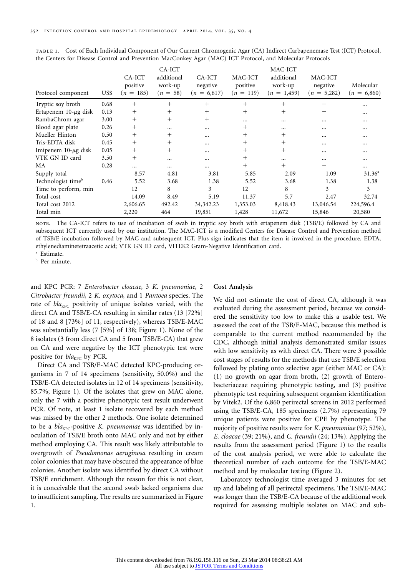| Protocol component             | US\$ | CA-ICT<br>positive<br>$(n = 185)$ | CA-ICT<br>additional<br>work-up<br>$(n = 58)$ | CA-ICT<br>negative<br>$(n = 6,617)$ | MAC-ICT<br>positive<br>$(n = 119)$ | MAC-ICT<br>additional<br>work-up<br>$(n = 1,459)$ | MAC-ICT<br>negative<br>$(n = 5,282)$ | Molecular<br>$(n = 6,860)$ |
|--------------------------------|------|-----------------------------------|-----------------------------------------------|-------------------------------------|------------------------------------|---------------------------------------------------|--------------------------------------|----------------------------|
| Tryptic soy broth              | 0.68 | $^{+}$                            | $^{+}$                                        | $^{+}$                              | $^{+}$                             | $^{+}$                                            | $^{+}$                               | $\cdots$                   |
| Ertapenem $10$ - $\mu$ g disk  | 0.13 | $^{+}$                            | $^{+}$                                        | $^{+}$                              | $^{+}$                             | $^{+}$                                            | $^{+}$                               | $\cdots$                   |
| RambaChrom agar                | 3.00 | $^{+}$                            | $^{+}$                                        | $^{+}$                              | $\cdots$                           | $\cdots$                                          | $\cdots$                             | $\cdots$                   |
| Blood agar plate               | 0.26 | $^{+}$                            | $\cdots$                                      | $\cdots$                            | $^{+}$                             | $\cdots$                                          | $\cdots$                             | $\cdots$                   |
| Mueller Hinton                 | 0.50 | $^{+}$                            | $^{+}$                                        |                                     | $\pm$                              | $^+$                                              | $\cdots$                             | $\cdots$                   |
| Tris-EDTA disk                 | 0.45 | $^{+}$                            | $^{+}$                                        |                                     | $\pm$                              | $^{+}$                                            | $\cdots$                             | $\cdots$                   |
| Imipenem $10-\mu$ g disk       | 0.05 | $^{+}$                            | $^{+}$                                        | $\cdots$                            | $^{+}$                             | $^{+}$                                            | $\cdots$                             | $\cdots$                   |
| VTK GN ID card                 | 3.50 | $^{+}$                            |                                               | $\cdots$                            | $^{+}$                             | $\cdots$                                          | $\cdots$                             | $\cdots$                   |
| MA                             | 0.28 |                                   | $\cdots$                                      |                                     | $^{+}$                             | $^{+}$                                            | $^{+}$                               | $\cdots$                   |
| Supply total                   |      | 8.57                              | 4.81                                          | 3.81                                | 5.85                               | 2.09                                              | 1.09                                 | $31.36^{\circ}$            |
| Technologist time <sup>b</sup> | 0.46 | 5.52                              | 3.68                                          | 1.38                                | 5.52                               | 3.68                                              | 1.38                                 | 1.38                       |
| Time to perform, min           |      | 12                                | 8                                             | 3                                   | 12                                 | 8                                                 | 3                                    | 3                          |
| Total cost                     |      | 14.09                             | 8.49                                          | 5.19                                | 11.37                              | 5.7                                               | 2.47                                 | 32.74                      |
| Total cost 2012                |      | 2,606.65                          | 492.42                                        | 34, 342. 23                         | 1,353.03                           | 8,418.43                                          | 13,046.54                            | 224,596.4                  |
| Total min                      |      | 2,220                             | 464                                           | 19,851                              | 1,428                              | 11,672                                            | 15,846                               | 20,580                     |

table 1. Cost of Each Individual Component of Our Current Chromogenic Agar (CA) Indirect Carbapenemase Test (ICT) Protocol, the Centers for Disease Control and Prevention MacConkey Agar (MAC) ICT Protocol, and Molecular Protocols

note. The CA-ICT refers to use of incubation of swab in tryptic soy broth with ertapenem disk (TSB/E) followed by CA and subsequent ICT currently used by our institution. The MAC-ICT is a modified Centers for Disease Control and Prevention method of TSB/E incubation followed by MAC and subsequent ICT. Plus sign indicates that the item is involved in the procedure. EDTA, ethylenediaminetetraacetic acid; VTK GN ID card, VITEK2 Gram-Negative Identification card. <sup>a</sup> Estimate.

**b** Per minute.

and KPC PCR: 7 *Enterobacter cloacae*, 3 *K. pneumoniae*, 2 *Citrobacter freundii*, 2 *K. oxytoca*, and 1 *Pantoea* species. The rate of *bla<sub>KPC</sub>* positivity of unique isolates varied, with the direct CA and TSB/E-CA resulting in similar rates (13 [72%] of 18 and 8 [73%] of 11, respectively), whereas TSB/E-MAC was substantially less (7 [5%] of 138; Figure 1). None of the 8 isolates (3 from direct CA and 5 from TSB/E-CA) that grew on CA and were negative by the ICT phenotypic test were positive for *bla*<sub>KPC</sub> by PCR.

Direct CA and TSB/E-MAC detected KPC-producing organisms in 7 of 14 specimens (sensitivity, 50.0%) and the TSB/E-CA detected isolates in 12 of 14 specimens (sensitivity, 85.7%; Figure 1). Of the isolates that grew on MAC alone, only the 7 with a positive phenotypic test result underwent PCR. Of note, at least 1 isolate recovered by each method was missed by the other 2 methods. One isolate determined to be a *bla<sub>KPC</sub>*-positive *K. pneumoniae* was identified by inoculation of TSB/E broth onto MAC only and not by either method employing CA. This result was likely attributable to overgrowth of *Pseudomonas aeruginosa* resulting in cream color colonies that may have obscured the appearance of blue colonies. Another isolate was identified by direct CA without TSB/E enrichment. Although the reason for this is not clear, it is conceivable that the second swab lacked organisms due to insufficient sampling. The results are summarized in Figure 1.

#### **Cost Analysis**

We did not estimate the cost of direct CA, although it was evaluated during the assessment period, because we considered the sensitivity too low to make this a usable test. We assessed the cost of the TSB/E-MAC, because this method is comparable to the current method recommended by the CDC, although initial analysis demonstrated similar issues with low sensitivity as with direct CA. There were 3 possible cost stages of results for the methods that use TSB/E selection followed by plating onto selective agar (either MAC or CA): (1) no growth on agar from broth, (2) growth of Enterobacteriaceae requiring phenotypic testing, and (3) positive phenotypic test requiring subsequent organism identification by Vitek2. Of the 6,860 perirectal screens in 2012 performed using the TSB/E-CA, 185 specimens (2.7%) representing 79 unique patients were positive for CPE by phenotype. The majority of positive results were for *K. pneumoniae* (97; 52%), *E. cloacae* (39; 21%), and *C. freundii* (24; 13%). Applying the results from the assessment period (Figure 1) to the results of the cost analysis period, we were able to calculate the theoretical number of each outcome for the TSB/E-MAC method and by molecular testing (Figure 2).

Laboratory technologist time averaged 3 minutes for set up and labeling of all perirectal specimens. The TSB/E-MAC was longer than the TSB/E-CA because of the additional work required for assessing multiple isolates on MAC and sub-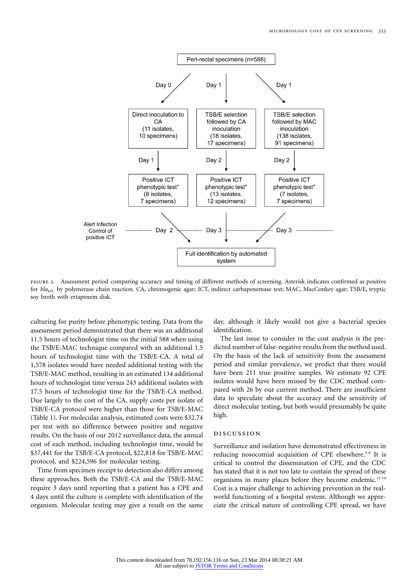

figure 1. Assessment period comparing accuracy and timing of different methods of screening. Asterisk indicates confirmed as positive for *bla<sub>KPC</sub>* by polymerase chain reaction. CA, chromogenic agar; ICT, indirect carbapenemase test; MAC, MacConkey agar; TSB/E, tryptic soy broth with ertapenem disk.

culturing for purity before phenotypic testing. Data from the assessment period demonstrated that there was an additional 11.5 hours of technologist time on the initial 588 when using the TSB/E-MAC technique compared with an additional 1.5 hours of technologist time with the TSB/E-CA. A total of 1,578 isolates would have needed additional testing with the TSB/E-MAC method, resulting in an estimated 134 additional hours of technologist time versus 243 additional isolates with 17.5 hours of technologist time for the TSB/E-CA method. Due largely to the cost of the CA, supply costs per isolate of TSB/E-CA protocol were higher than those for TSB/E-MAC (Table 1). For molecular analysis, estimated costs were \$32.74 per test with no difference between positive and negative results. On the basis of our 2012 surveillance data, the annual cost of each method, including technologist time, would be \$37,441 for the TSB/E-CA protocol, \$22,818 for TSB/E-MAC protocol, and \$224,596 for molecular testing.

Time from specimen receipt to detection also differs among these approaches. Both the TSB/E-CA and the TSB/E-MAC require 3 days until reporting that a patient has a CPE and 4 days until the culture is complete with identification of the organism. Molecular testing may give a result on the same day, although it likely would not give a bacterial species identification.

The last issue to consider in the cost analysis is the predicted number of false-negative results from the method used. On the basis of the lack of sensitivity from the assessment period and similar prevalence, we predict that there would have been 211 true positive samples. We estimate 92 CPE isolates would have been missed by the CDC method compared with 26 by our current method. There are insufficient data to speculate about the accuracy and the sensitivity of direct molecular testing, but both would presumably be quite high.

#### discussion

Surveillance and isolation have demonstrated effectiveness in reducing nosocomial acquisition of CPE elsewhere.<sup>5-8</sup> It is critical to control the dissemination of CPE, and the CDC has stated that it is not too late to contain the spread of these organisms in many places before they become endemic.<sup>12-14</sup> Cost is a major challenge to achieving prevention in the realworld functioning of a hospital system. Although we appreciate the critical nature of controlling CPE spread, we have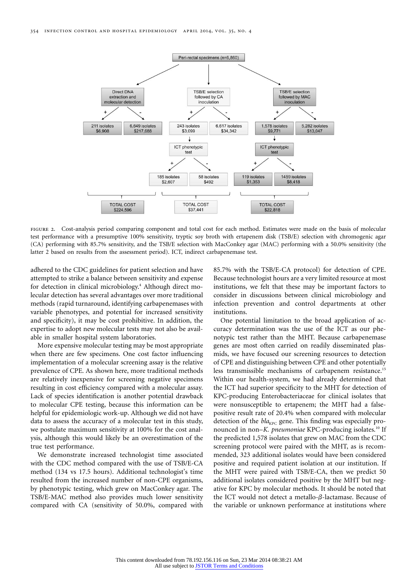

FIGURE 2. Cost-analysis period comparing component and total cost for each method. Estimates were made on the basis of molecular test performance with a presumptive 100% sensitivity, tryptic soy broth with ertapenem disk (TSB/E) selection with chromogenic agar (CA) performing with 85.7% sensitivity, and the TSB/E selection with MacConkey agar (MAC) performing with a 50.0% sensitivity (the latter 2 based on results from the assessment period). ICT, indirect carbapenemase test.

adhered to the CDC guidelines for patient selection and have attempted to strike a balance between sensitivity and expense for detection in clinical microbiology.<sup>4</sup> Although direct molecular detection has several advantages over more traditional methods (rapid turnaround, identifying carbapenemases with variable phenotypes, and potential for increased sensitivity and specificity), it may be cost prohibitive. In addition, the expertise to adopt new molecular tests may not also be available in smaller hospital system laboratories.

More expensive molecular testing may be most appropriate when there are few specimens. One cost factor influencing implementation of a molecular screening assay is the relative prevalence of CPE. As shown here, more traditional methods are relatively inexpensive for screening negative specimens resulting in cost efficiency compared with a molecular assay. Lack of species identification is another potential drawback to molecular CPE testing, because this information can be helpful for epidemiologic work-up. Although we did not have data to assess the accuracy of a molecular test in this study, we postulate maximum sensitivity at 100% for the cost analysis, although this would likely be an overestimation of the true test performance.

We demonstrate increased technologist time associated with the CDC method compared with the use of TSB/E-CA method (134 vs 17.5 hours). Additional technologist's time resulted from the increased number of non-CPE organisms, by phenotypic testing, which grew on MacConkey agar. The TSB/E-MAC method also provides much lower sensitivity compared with CA (sensitivity of 50.0%, compared with 85.7% with the TSB/E-CA protocol) for detection of CPE. Because technologist hours are a very limited resource at most institutions, we felt that these may be important factors to consider in discussions between clinical microbiology and infection prevention and control departments at other institutions.

One potential limitation to the broad application of accuracy determination was the use of the ICT as our phenotypic test rather than the MHT. Because carbapenemase genes are most often carried on readily disseminated plasmids, we have focused our screening resources to detection of CPE and distinguishing between CPE and other potentially less transmissible mechanisms of carbapenem resistance.<sup>15</sup> Within our health-system, we had already determined that the ICT had superior specificity to the MHT for detection of KPC-producing Enterobacteriaceae for clinical isolates that were nonsusceptible to ertapenem; the MHT had a falsepositive result rate of 20.4% when compared with molecular detection of the *bla*<sub>KPC</sub> gene. This finding was especially pronounced in non–*K. pneumoniae* KPC-producing isolates.<sup>10</sup> If the predicted 1,578 isolates that grew on MAC from the CDC screening protocol were paired with the MHT, as is recommended, 323 additional isolates would have been considered positive and required patient isolation at our institution. If the MHT were paired with TSB/E-CA, then we predict 50 additional isolates considered positive by the MHT but negative for KPC by molecular methods. It should be noted that the ICT would not detect a metallo- $\beta$ -lactamase. Because of the variable or unknown performance at institutions where